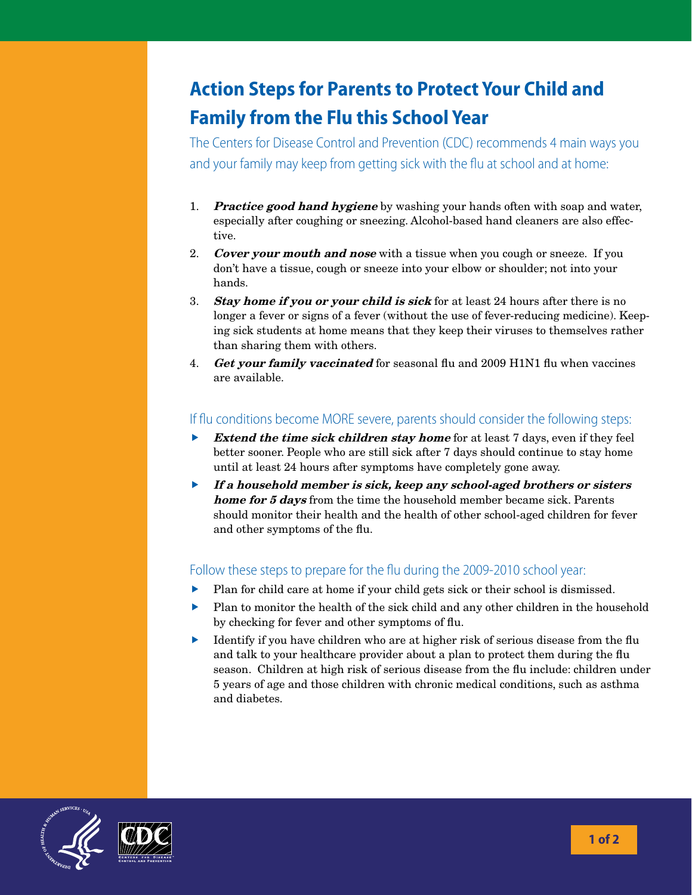## **Action Steps for Parents to Protect Your Child and Family from the Flu this School Year**

The Centers for Disease Control and Prevention (CDC) recommends 4 main ways you and your family may keep from getting sick with the flu at school and at home:

- 1. **Practice good hand hygiene** by washing your hands often with soap and water, especially after coughing or sneezing. Alcohol-based hand cleaners are also effective.
- 2. Cover your mouth and nose with a tissue when you cough or sneeze. If you don't have a tissue, cough or sneeze into your elbow or shoulder; not into your hands.
- 3. Stay home if you or your child is sick for at least 24 hours after there is no longer a fever or signs of a fever (without the use of fever-reducing medicine). Keeping sick students at home means that they keep their viruses to themselves rather than sharing them with others.
- 4. *Get your family vaccinated* for seasonal flu and 2009 H1N1 flu when vaccines are available.

## If flu conditions become MORE severe, parents should consider the following steps:

- Extend the time sick children stay home for at least 7 days, even if they feel better sooner. People who are still sick after 7 days should continue to stay home until at least 24 hours after symptoms have completely gone away.
- $\blacktriangleright$  If a household member is sick, keep any school-aged brothers or sisters home for 5 days from the time the household member became sick. Parents should monitor their health and the health of other school-aged children for fever and other symptoms of the flu.

## Follow these steps to prepare for the flu during the 2009-2010 school year:

- Plan for child care at home if your child gets sick or their school is dismissed.
- $\blacktriangleright$  Plan to monitor the health of the sick child and any other children in the household by checking for fever and other symptoms of flu.
- Identify if you have children who are at higher risk of serious disease from the flu and talk to your healthcare provider about a plan to protect them during the flu season. Children at high risk of serious disease from the flu include: children under 5 years of age and those children with chronic medical conditions, such as asthma and diabetes.